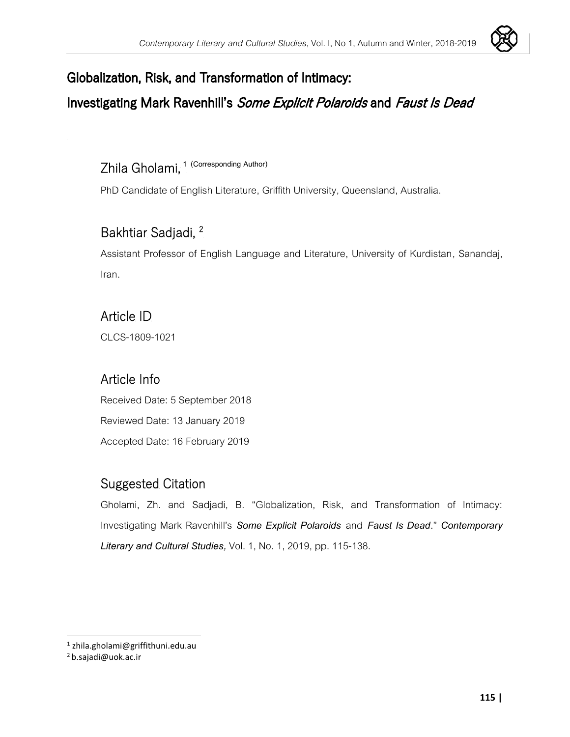

### Globalization, Risk, and Transformation of Intimacy:

### Investigating Mark Ravenhill's Some Explicit Polaroids and Faust Is Dead

### Zhila Gholami, **1 (Corresponding Author)**

PhD Candidate of English Literature, Griffith University, Queensland, Australia.

### Bakhtiar Sadjadi, 2

Assistant Professor of English Language and Literature, University of Kurdistan, Sanandaj, Iran.

#### Article ID

[CLCS-1809-102](javascript:prepareToAccept(128595))1

### Article Info

Received Date: 5 September 2018 Reviewed Date: 13 January 2019 Accepted Date: 16 February 2019

#### Suggested Citation

Gholami, Zh. and Sadjadi, B. "Globalization, Risk, and Transformation of Intimacy: Investigating Mark Ravenhill's *Some Explicit Polaroids* and *Faust Is Dead***.**" *Contemporary Literary and Cultural Studies,* Vol. 1, No. 1, 2019, pp. 115-138.

<sup>1</sup> zhila.gholami@griffithuni.edu.au

<sup>2</sup> b.sajadi@uok.ac.ir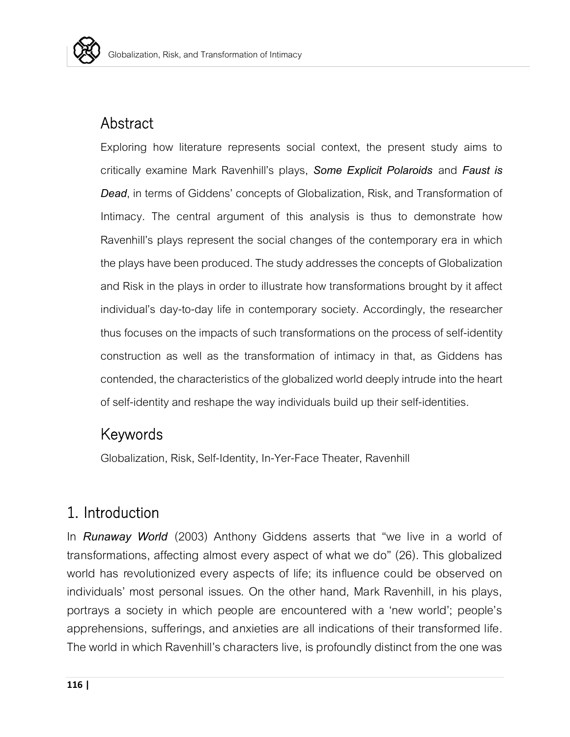

### **Abstract**

Exploring how literature represents social context, the present study aims to critically examine Mark Ravenhill's plays, *Some Explicit Polaroids* and *Faust is Dead*, in terms of Giddens' concepts of Globalization, Risk, and Transformation of Intimacy. The central argument of this analysis is thus to demonstrate how Ravenhill's plays represent the social changes of the contemporary era in which the plays have been produced. The study addresses the concepts of Globalization and Risk in the plays in order to illustrate how transformations brought by it affect individual's day-to-day life in contemporary society. Accordingly, the researcher thus focuses on the impacts of such transformations on the process of self-identity construction as well as the transformation of intimacy in that, as Giddens has contended, the characteristics of the globalized world deeply intrude into the heart of self-identity and reshape the way individuals build up their self-identities.

#### Keywords

Globalization, Risk, Self-Identity, In-Yer-Face Theater, Ravenhill

## 1. Introduction

In *Runaway World* (2003) Anthony Giddens asserts that "we live in a world of transformations, affecting almost every aspect of what we do" (26). This globalized world has revolutionized every aspects of life; its influence could be observed on individuals' most personal issues. On the other hand, Mark Ravenhill, in his plays, portrays a society in which people are encountered with a 'new world'; people's apprehensions, sufferings, and anxieties are all indications of their transformed life. The world in which Ravenhill's characters live, is profoundly distinct from the one was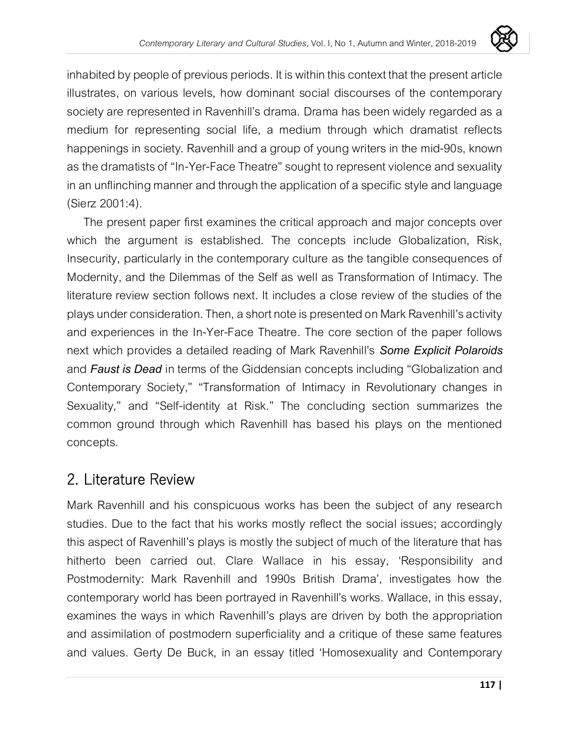

inhabited by people of previous periods. It is within this context that the present article illustrates, on various levels, how dominant social discourses of the contemporary society are represented in Ravenhill's drama. Drama has been widely regarded as a medium for representing social life, a medium through which dramatist reflects happenings in society. Ravenhill and a group of young writers in the mid-90s, known as the dramatists of "In-Yer-Face Theatre" sought to represent violence and sexuality in an unflinching manner and through the application of a specific style and language (Sierz 2001:4).

The present paper first examines the critical approach and major concepts over which the argument is established. The concepts include Globalization, Risk, Insecurity, particularly in the contemporary culture as the tangible consequences of Modernity, and the Dilemmas of the Self as well as Transformation of Intimacy. The literature review section follows next. It includes a close review of the studies of the plays under consideration. Then, a short note is presented on Mark Ravenhill's activity and experiences in the In-Yer-Face Theatre. The core section of the paper follows next which provides a detailed reading of Mark Ravenhill's *Some Explicit Polaroids* and *Faust is Dead* in terms of the Giddensian concepts including "Globalization and Contemporary Society," "Transformation of Intimacy in Revolutionary changes in Sexuality," and "Self-identity at Risk." The concluding section summarizes the common ground through which Ravenhill has based his plays on the mentioned concepts.

## 2. Literature Review

Mark Ravenhill and his conspicuous works has been the subject of any research studies. Due to the fact that his works mostly reflect the social issues; accordingly this aspect of Ravenhill's plays is mostly the subject of much of the literature that has hitherto been carried out. Clare Wallace in his essay, 'Responsibility and Postmodernity: Mark Ravenhill and 1990s British Drama', investigates how the contemporary world has been portrayed in Ravenhill's works. Wallace, in this essay, examines the ways in which Ravenhill's plays are driven by both the appropriation and assimilation of postmodern superficiality and a critique of these same features and values. Gerty De Buck, in an essay titled 'Homosexuality and Contemporary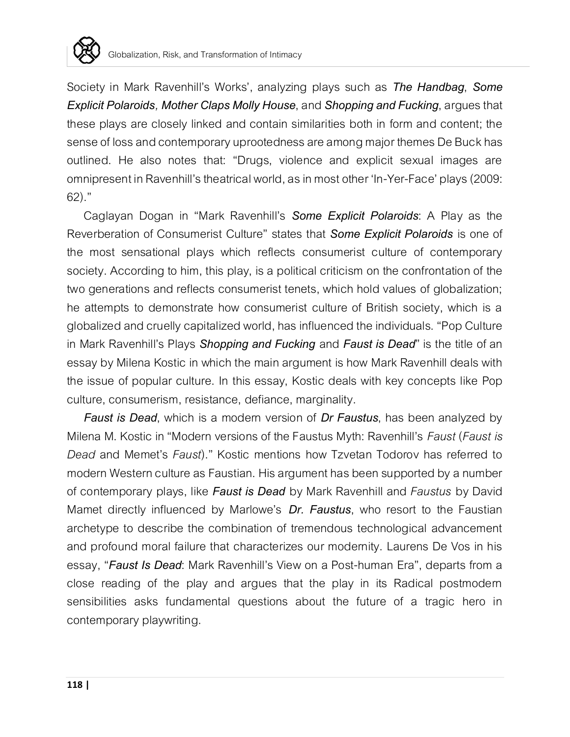

Society in Mark Ravenhill's Works', analyzing plays such as *The Handbag*, *Some Explicit Polaroids, Mother Claps Molly House*, and *Shopping and Fucking*, argues that these plays are closely linked and contain similarities both in form and content; the sense of loss and contemporary uprootedness are among major themes De Buck has outlined. He also notes that: "Drugs, violence and explicit sexual images are omnipresent in Ravenhill's theatrical world, as in most other 'In-Yer-Face' plays (2009: 62)."

Caglayan Dogan in "Mark Ravenhill's *Some Explicit Polaroids*: A Play as the Reverberation of Consumerist Culture" states that *Some Explicit Polaroids* is one of the most sensational plays which reflects consumerist culture of contemporary society. According to him, this play, is a political criticism on the confrontation of the two generations and reflects consumerist tenets, which hold values of globalization; he attempts to demonstrate how consumerist culture of British society, which is a globalized and cruelly capitalized world, has influenced the individuals. "Pop Culture in Mark Ravenhill's Plays *Shopping and Fucking* and *Faust is Dead*" is the title of an essay by Milena Kostic in which the main argument is how Mark Ravenhill deals with the issue of popular culture. In this essay, Kostic deals with key concepts like Pop culture, consumerism, resistance, defiance, marginality.

*Faust is Dead*, which is a modern version of *Dr Faustus*, has been analyzed by Milena M. Kostic in "Modern versions of the Faustus Myth: Ravenhill's *Faust* (*Faust is Dead* and Memet's *Faust*)." Kostic mentions how Tzvetan Todorov has referred to modern Western culture as Faustian. His argument has been supported by a number of contemporary plays, like *Faust is Dead* by Mark Ravenhill and *Faustus* by David Mamet directly influenced by Marlowe's *Dr. Faustus*, who resort to the Faustian archetype to describe the combination of tremendous technological advancement and profound moral failure that characterizes our modernity. Laurens De Vos in his essay, "*Faust Is Dead*: Mark Ravenhill's View on a Post-human Era", departs from a close reading of the play and argues that the play in its Radical postmodern sensibilities asks fundamental questions about the future of a tragic hero in contemporary playwriting.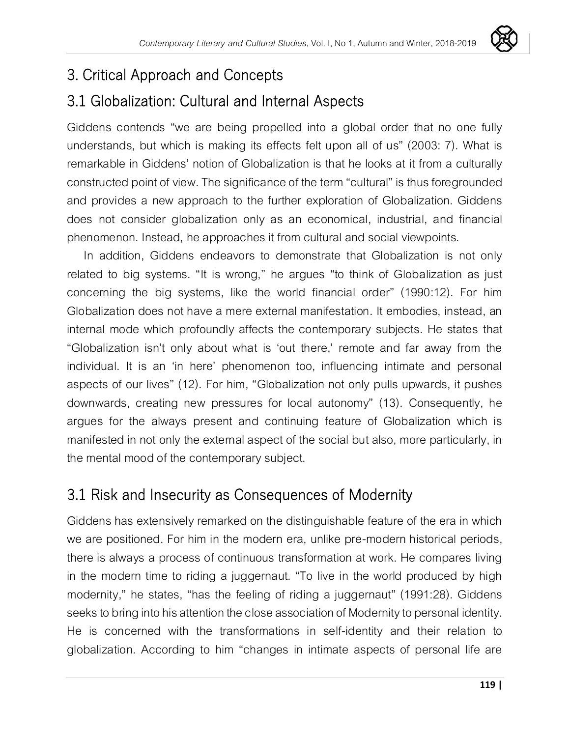

## 3. Critical Approach and Concepts

# 3.1 Globalization: Cultural and Internal Aspects

Giddens contends "we are being propelled into a global order that no one fully understands, but which is making its effects felt upon all of us" (2003: 7). What is remarkable in Giddens' notion of Globalization is that he looks at it from a culturally constructed point of view. The significance of the term "cultural" is thus foregrounded and provides a new approach to the further exploration of Globalization. Giddens does not consider globalization only as an economical, industrial, and financial phenomenon. Instead, he approaches it from cultural and social viewpoints.

In addition, Giddens endeavors to demonstrate that Globalization is not only related to big systems. "It is wrong," he argues "to think of Globalization as just concerning the big systems, like the world financial order" (1990:12). For him Globalization does not have a mere external manifestation. It embodies, instead, an internal mode which profoundly affects the contemporary subjects. He states that "Globalization isn't only about what is 'out there,' remote and far away from the individual. It is an 'in here' phenomenon too, influencing intimate and personal aspects of our lives" (12). For him, "Globalization not only pulls upwards, it pushes downwards, creating new pressures for local autonomy" (13). Consequently, he argues for the always present and continuing feature of Globalization which is manifested in not only the external aspect of the social but also, more particularly, in the mental mood of the contemporary subject.

# 3.1 Risk and Insecurity as Consequences of Modernity

Giddens has extensively remarked on the distinguishable feature of the era in which we are positioned. For him in the modern era, unlike pre-modern historical periods, there is always a process of continuous transformation at work. He compares living in the modern time to riding a juggernaut. "To live in the world produced by high modernity," he states, "has the feeling of riding a juggernaut" (1991:28). Giddens seeks to bring into his attention the close association of Modernity to personal identity. He is concerned with the transformations in self-identity and their relation to globalization. According to him "changes in intimate aspects of personal life are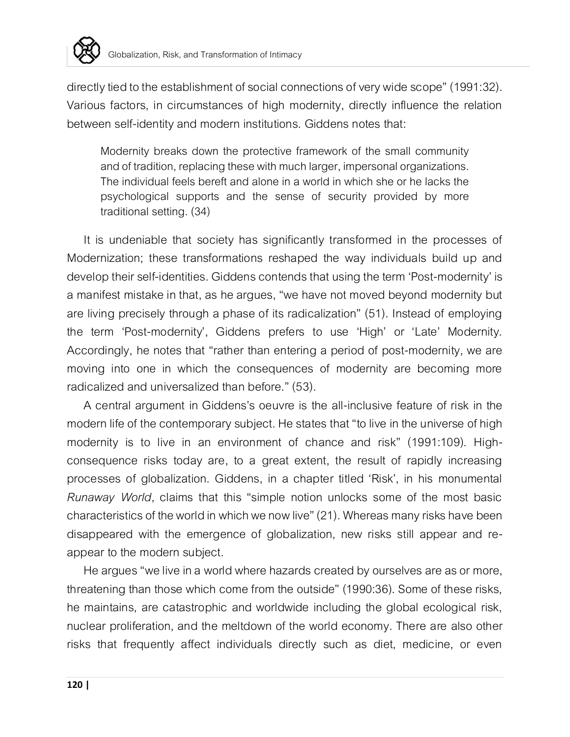

directly tied to the establishment of social connections of very wide scope" (1991:32). Various factors, in circumstances of high modernity, directly influence the relation between self-identity and modern institutions. Giddens notes that:

Modernity breaks down the protective framework of the small community and of tradition, replacing these with much larger, impersonal organizations. The individual feels bereft and alone in a world in which she or he lacks the psychological supports and the sense of security provided by more traditional setting. (34)

It is undeniable that society has significantly transformed in the processes of Modernization; these transformations reshaped the way individuals build up and develop their self-identities. Giddens contends that using the term 'Post-modernity' is a manifest mistake in that, as he argues, "we have not moved beyond modernity but are living precisely through a phase of its radicalization" (51). Instead of employing the term 'Post-modernity', Giddens prefers to use 'High' or 'Late' Modernity. Accordingly, he notes that "rather than entering a period of post-modernity, we are moving into one in which the consequences of modernity are becoming more radicalized and universalized than before." (53).

A central argument in Giddens's oeuvre is the all-inclusive feature of risk in the modern life of the contemporary subject. He states that "to live in the universe of high modernity is to live in an environment of chance and risk" (1991:109). Highconsequence risks today are, to a great extent, the result of rapidly increasing processes of globalization. Giddens, in a chapter titled 'Risk', in his monumental *Runaway World*, claims that this "simple notion unlocks some of the most basic characteristics of the world in which we now live" (21). Whereas many risks have been disappeared with the emergence of globalization, new risks still appear and reappear to the modern subject.

He argues "we live in a world where hazards created by ourselves are as or more, threatening than those which come from the outside" (1990:36). Some of these risks, he maintains, are catastrophic and worldwide including the global ecological risk, nuclear proliferation, and the meltdown of the world economy. There are also other risks that frequently affect individuals directly such as diet, medicine, or even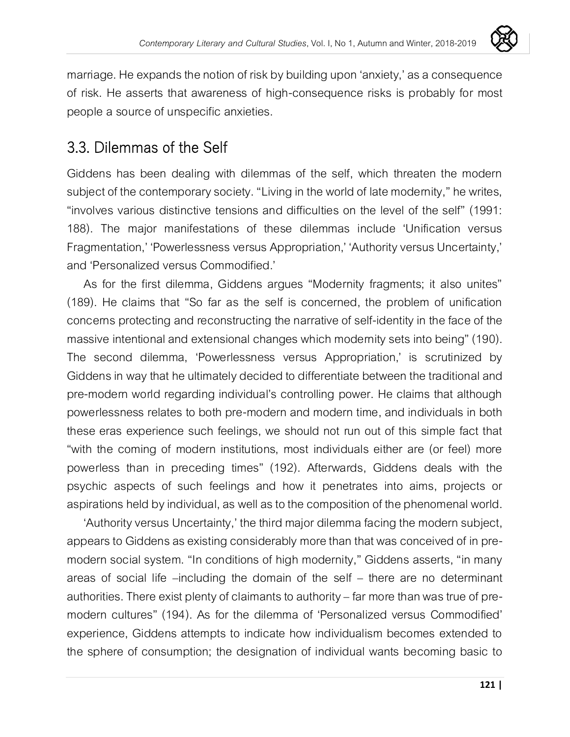

marriage. He expands the notion of risk by building upon 'anxiety,' as a consequence of risk. He asserts that awareness of high-consequence risks is probably for most people a source of unspecific anxieties.

### 3.3. Dilemmas of the Self

Giddens has been dealing with dilemmas of the self, which threaten the modern subject of the contemporary society. "Living in the world of late modernity," he writes, "involves various distinctive tensions and difficulties on the level of the self" (1991: 188). The major manifestations of these dilemmas include 'Unification versus Fragmentation,' 'Powerlessness versus Appropriation,' 'Authority versus Uncertainty,' and 'Personalized versus Commodified.'

As for the first dilemma, Giddens argues "Modernity fragments; it also unites" (189). He claims that "So far as the self is concerned, the problem of unification concerns protecting and reconstructing the narrative of self-identity inthe face of the massive intentional and extensional changes which modernity sets into being" (190). The second dilemma, 'Powerlessness versus Appropriation,' is scrutinized by Giddens in way that he ultimately decided to differentiate between the traditional and pre-modern world regarding individual's controlling power. He claims that although powerlessness relates to both pre-modern and modern time, and individuals in both these eras experience such feelings, we should not run out of this simple fact that "with the coming of modern institutions, most individuals either are (or feel) more powerless than in preceding times" (192). Afterwards, Giddens deals with the psychic aspects of such feelings and how it penetrates into aims, projects or aspirations held by individual, as well as to the composition of the phenomenal world.

'Authority versus Uncertainty,' the third major dilemma facing the modern subject, appears to Giddens as existing considerably more than that was conceived of in premodern social system. "In conditions of high modernity," Giddens asserts, "in many areas of social life –including the domain of the self – there are no determinant authorities. There exist plenty of claimants to authority –far more than was true of premodern cultures" (194). As for the dilemma of 'Personalized versus Commodified' experience, Giddens attempts to indicate how individualism becomes extended to the sphere of consumption; the designation of individual wants becoming basic to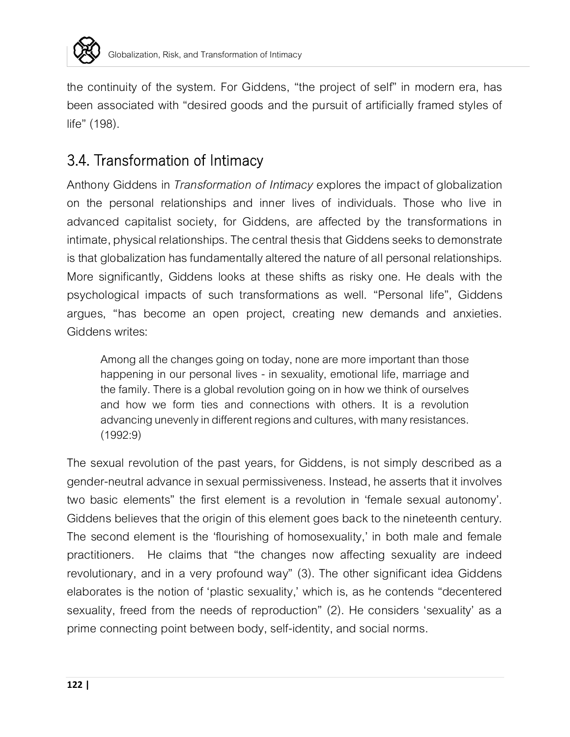

the continuity of the system. For Giddens, "the project of self" in modern era, has been associated with "desired goods and the pursuit of artificially framed styles of life" (198).

# 3.4. Transformation of Intimacy

Anthony Giddens in *Transformation of Intimacy* explores the impact of globalization on the personal relationships and inner lives of individuals. Those who live in advanced capitalist society, for Giddens, are affected by the transformations in intimate, physical relationships. The central thesis that Giddens seeks to demonstrate is that globalization has fundamentally altered the nature of all personal relationships. More significantly, Giddens looks at these shifts as risky one. He deals with the psychological impacts of such transformations as well. "Personal life", Giddens argues, "has become an open project, creating new demands and anxieties. Giddens writes:

Among all the changes going on today, none are more important than those happening in our personal lives - in sexuality, emotional life, marriage and the family. There is a global revolution going on in how we think of ourselves and how we form ties and connections with others. It is a revolution advancing unevenly in different regions and cultures, with many resistances. (1992:9)

The sexual revolution of the past years, for Giddens, is not simply described as a gender-neutral advance in sexual permissiveness. Instead, he asserts that it involves two basic elements" the first element is a revolution in 'female sexual autonomy'. Giddens believes that the origin of this element goes back to the nineteenth century. The second element is the 'flourishing of homosexuality,' in both male and female practitioners. He claims that "the changes now affecting sexuality are indeed revolutionary, and in a very profound way" (3). The other significant idea Giddens elaborates is the notion of 'plastic sexuality,' which is, as he contends "decentered sexuality, freed from the needs of reproduction" (2). He considers 'sexuality' as a prime connecting point between body, self-identity, and social norms.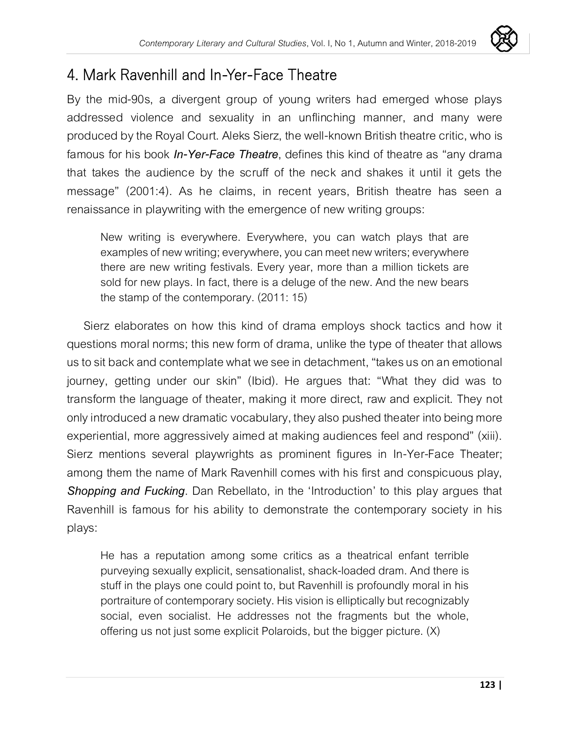

# 4. Mark Ravenhill and In-Yer-Face Theatre

By the mid-90s, a divergent group of young writers had emerged whose plays addressed violence and sexuality in an unflinching manner, and many were produced by the Royal Court. Aleks Sierz, the well-known British theatre critic, who is famous for his book *In-Yer-Face Theatre*, defines this kind of theatre as "any drama that takes the audience by the scruff of the neck and shakes it until it gets the message" (2001:4). As he claims, in recent years, British theatre has seen a renaissance in playwriting with the emergence of new writing groups:

New writing is everywhere. Everywhere, you can watch plays that are examples of new writing; everywhere, you can meet new writers; everywhere there are new writing festivals. Every year, more than a million tickets are sold for new plays. In fact, there is a deluge of the new. And the new bears the stamp of the contemporary. (2011: 15)

Sierz elaborates on how this kind of drama employs shock tactics and how it questions moral norms; this new form of drama, unlike the type of theater that allows us to sit back and contemplate what we see in detachment, "takes us on an emotional journey, getting under our skin" (Ibid). He argues that: "What they did was to transform the language of theater, making it more direct, raw and explicit. They not only introduced a new dramatic vocabulary, they also pushed theater into being more experiential, more aggressively aimed at making audiences feel and respond" (xiii). Sierz mentions several playwrights as prominent figures in In-Yer-Face Theater; among them the name of Mark Ravenhill comes with his first and conspicuous play, *Shopping and Fucking*. Dan Rebellato, in the 'Introduction' to this play argues that Ravenhill is famous for his ability to demonstrate the contemporary society in his plays:

He has a reputation among some critics as a theatrical enfant terrible purveying sexually explicit, sensationalist, shack-loaded dram. And there is stuff in the plays one could point to, but Ravenhill is profoundly moral in his portraiture of contemporary society. His vision is elliptically but recognizably social, even socialist. He addresses not the fragments but the whole, offering us not just some explicit Polaroids, but the bigger picture. (X)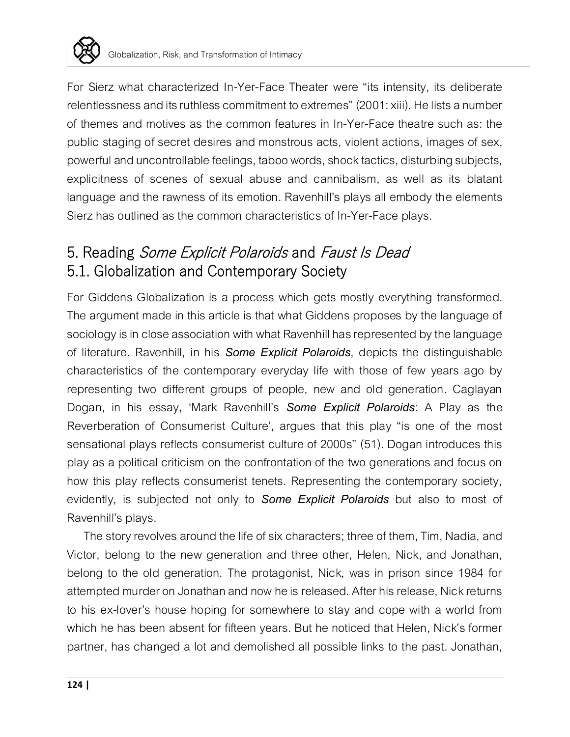

For Sierz what characterized In-Yer-Face Theater were "its intensity, its deliberate relentlessness and its ruthless commitment to extremes" (2001: xiii). He lists a number of themes and motives as the common features in In-Yer-Face theatre such as: the public staging of secret desires and monstrous acts, violent actions, images of sex, powerful and uncontrollable feelings, taboo words, shock tactics, disturbing subjects, explicitness of scenes of sexual abuse and cannibalism, as well as its blatant language and the rawness of its emotion. Ravenhill's plays all embody the elements Sierz has outlined as the common characteristics of In-Yer-Face plays.

# 5. Reading Some Explicit Polaroids and Faust Is Dead 5.1. Globalization and Contemporary Society

For Giddens Globalization is a process which gets mostly everything transformed. The argument made in this article is that what Giddens proposes by the language of sociology is in close association with what Ravenhill has represented by the language of literature. Ravenhill, in his *Some Explicit Polaroids*, depicts the distinguishable characteristics of the contemporary everyday life with those of few years ago by representing two different groups of people, new and old generation. Caglayan Dogan, in his essay, 'Mark Ravenhill's *Some Explicit Polaroids*: A Play as the Reverberation of Consumerist Culture', argues that this play "is one of the most sensational plays reflects consumerist culture of 2000s" (51). Dogan introduces this play as a political criticism on the confrontation of the two generations and focus on how this play reflects consumerist tenets. Representing the contemporary society, evidently, is subjected not only to *Some Explicit Polaroids* but also to most of Ravenhill's plays.

The story revolves around the life of six characters; three of them, Tim, Nadia, and Victor, belong to the new generation and three other, Helen, Nick, and Jonathan, belong to the old generation. The protagonist, Nick, was in prison since 1984 for attempted murder on Jonathan and now he is released. After his release, Nick returns to his ex-lover's house hoping for somewhere to stay and cope with a world from which he has been absent for fifteen years. But he noticed that Helen, Nick's former partner, has changed a lot and demolished all possible links to the past. Jonathan,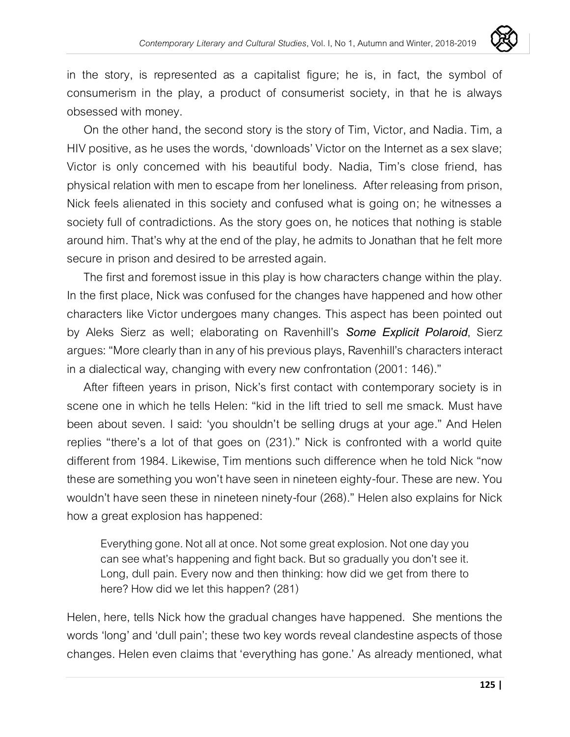

in the story, is represented as a capitalist figure; he is, in fact, the symbol of consumerism in the play, a product of consumerist society, in that he is always obsessed with money.

On the other hand, the second story is the story of Tim, Victor, and Nadia. Tim, a HIV positive, as he uses the words, 'downloads' Victor on the Internet as a sex slave; Victor is only concerned with his beautiful body. Nadia, Tim's close friend, has physical relation with men to escape from her loneliness. After releasing from prison, Nick feels alienated in this society and confused what is going on; he witnesses a society full of contradictions. As the story goes on, he notices that nothing is stable around him. That's why at the end of the play, he admits to Jonathan that he felt more secure in prison and desired to be arrested again.

The first and foremost issue in this play is how characters change within the play. In the first place, Nick was confused for the changes have happened and how other characters like Victor undergoes many changes. This aspect has been pointed out by Aleks Sierz as well; elaborating on Ravenhill's *Some Explicit Polaroid*, Sierz argues: "More clearly than in any of his previous plays, Ravenhill's characters interact in a dialectical way, changing with every new confrontation (2001: 146)."

After fifteen years in prison, Nick's first contact with contemporary society is in scene one in which he tells Helen: "kid in the lift tried to sell me smack. Must have been about seven. I said: 'you shouldn't be selling drugs at your age." And Helen replies "there's a lot of that goes on (231)." Nick is confronted with a world quite different from 1984. Likewise, Tim mentions such difference when he told Nick "now these are something you won't have seen in nineteen eighty-four. These are new. You wouldn't have seen these in nineteen ninety-four (268)." Helen also explains for Nick how a great explosion has happened:

Everything gone. Not all atonce. Not some great explosion. Not one day you can see what's happening and fight back. But so gradually you don't see it. Long, dull pain. Every now and then thinking: how did we get from there to here? How did we let this happen? (281)

Helen, here, tells Nick how the gradual changes have happened. She mentions the words 'long' and 'dull pain'; these two key words reveal clandestine aspects of those changes. Helen even claims that 'everything has gone.' As already mentioned, what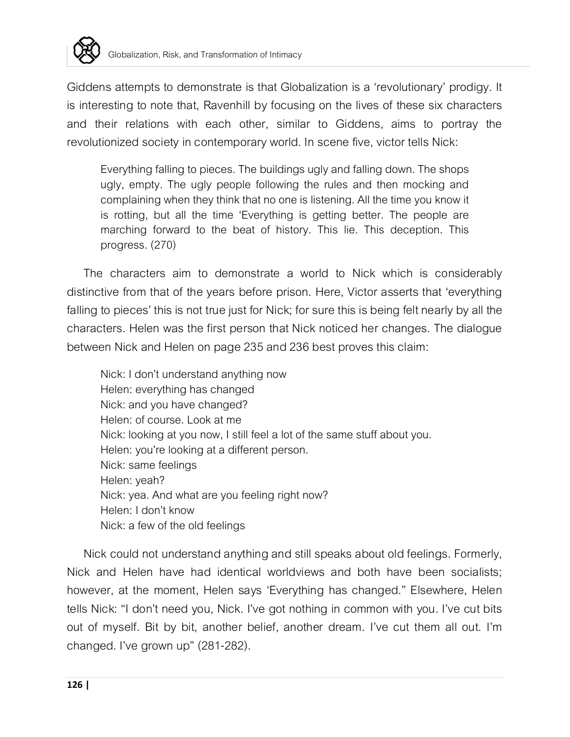

Giddens attempts to demonstrate is that Globalization is a 'revolutionary' prodigy. It is interesting to note that, Ravenhill by focusing on the lives of these six characters and their relations with each other, similar to Giddens, aims to portray the revolutionized society in contemporary world. In scene five, victor tells Nick:

Everything falling to pieces. The buildings ugly and falling down. The shops ugly, empty. The ugly people following the rules and then mocking and complaining when they think that no one is listening. All the time you know it is rotting, but all the time 'Everything is getting better. The people are marching forward to the beat of history. This lie. This deception. This progress. (270)

The characters aim to demonstrate a world to Nick which is considerably distinctive from that of the years before prison. Here, Victor asserts that 'everything falling to pieces' this is not true just for Nick; for sure this is being felt nearly by all the characters. Helen was the first person that Nick noticed her changes. The dialogue between Nick and Helen on page 235 and 236 best proves this claim:

Nick: I don't understand anything now Helen: everything has changed Nick: and you have changed? Helen: of course. Look at me Nick: looking at you now, I still feel a lot of the same stuff about you. Helen: you're looking at a different person. Nick: same feelings Helen: yeah? Nick: yea. And what are you feeling right now? Helen: I don't know Nick: a few of the old feelings

Nick could not understand anything and still speaks about old feelings. Formerly, Nick and Helen have had identical worldviews and both have been socialists; however, at the moment, Helen says 'Everything has changed." Elsewhere, Helen tells Nick: "I don't need you, Nick. I've got nothing in common with you. I've cut bits out of myself. Bit by bit, another belief, another dream. I've cut them all out. I'm changed. I've grown up" (281-282).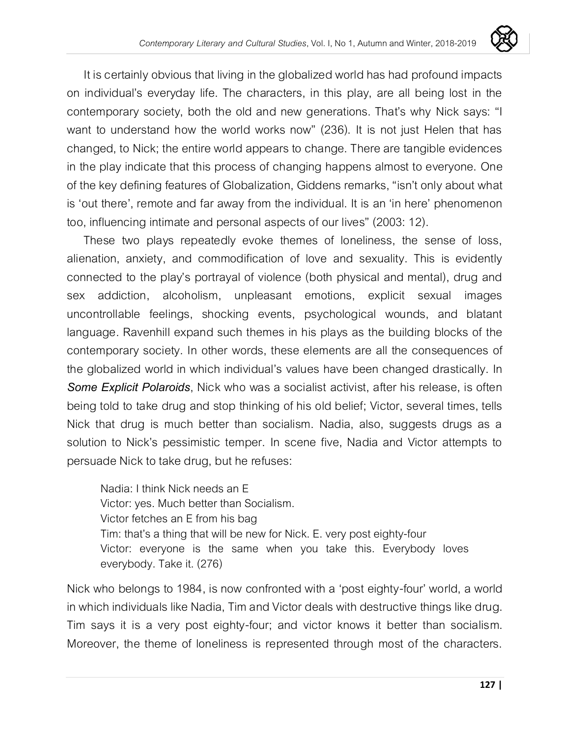

It is certainly obvious that living in the globalized world has had profound impacts on individual's everyday life. The characters, in this play, are all being lost in the contemporary society, both the old and new generations. That's why Nick says: "I want to understand how the world works now" (236). It is not just Helen that has changed, to Nick; the entire world appears to change. There are tangible evidences in the play indicate that this process of changing happens almost to everyone. One of the key defining features of Globalization, Giddens remarks, "isn't only about what is 'out there', remote and far away from the individual. It is an 'in here' phenomenon too, influencing intimate and personal aspects of our lives" (2003: 12).

These two plays repeatedly evoke themes of loneliness, the sense of loss, alienation, anxiety, and commodification of love and sexuality. This is evidently connected to the play's portrayal of violence (both physical and mental), drug and sex addiction, alcoholism, unpleasant emotions, explicit sexual images uncontrollable feelings, shocking events, psychological wounds, and blatant language. Ravenhill expand such themes in his plays as the building blocks of the contemporary society. In other words, these elements are all the consequences of the globalized world in which individual's values have been changed drastically. In *Some Explicit Polaroids*, Nick who was a socialist activist, after his release, is often being told to take drug and stop thinking of his old belief; Victor, several times, tells Nick that drug is much better than socialism. Nadia, also, suggests drugs as a solution to Nick's pessimistic temper. In scene five, Nadia and Victor attempts to persuade Nick to take drug, but he refuses:

Nadia: I think Nick needs an E Victor: yes. Much better than Socialism. Victor fetches an E from his bag Tim: that's a thing that will be new for Nick. E. very post eighty-four Victor: everyone is the same when you take this. Everybody loves everybody. Take it. (276)

Nick who belongs to 1984, is now confronted with a 'post eighty-four' world, a world in which individuals like Nadia, Tim and Victor deals with destructive things like drug. Tim says it is a very post eighty-four; and victor knows it better than socialism. Moreover, the theme of loneliness is represented through most of the characters.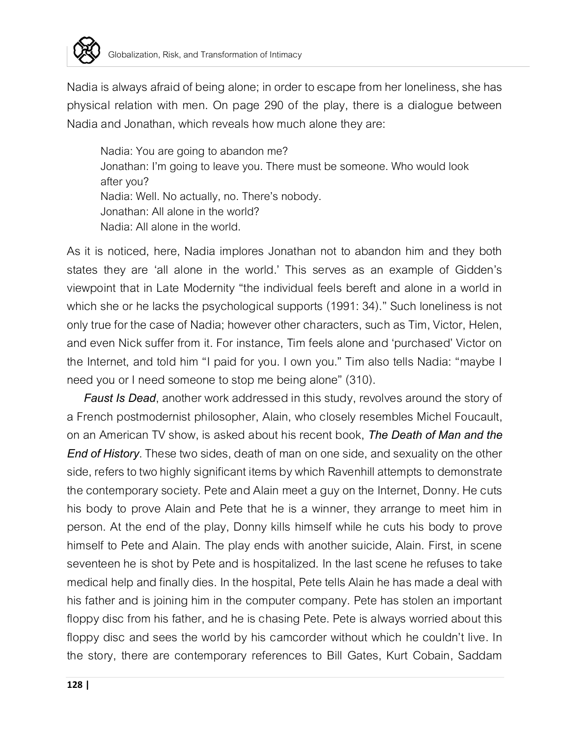

Nadia is always afraid of being alone; in order to escape from her loneliness, she has physical relation with men. On page 290 of the play, there is a dialogue between Nadia and Jonathan, which reveals how much alone they are:

Nadia: You are going to abandon me? Jonathan: I'm going to leave you. There must be someone. Who would look after you? Nadia: Well. No actually, no. There's nobody. Jonathan: All alone in the world? Nadia: All alone in the world.

As it is noticed, here, Nadia implores Jonathan not to abandon him and they both states they are 'all alone in the world.' This serves as an example of Gidden's viewpoint that in Late Modernity "the individual feels bereft and alone in a world in which she or he lacks the psychological supports (1991: 34)." Such loneliness is not only true for the case of Nadia; however other characters, such as Tim, Victor, Helen, and even Nick suffer from it. For instance, Tim feels alone and 'purchased' Victor on the Internet, and told him "I paid for you. I own you." Tim also tells Nadia: "maybe I need you or I need someone to stop me being alone" (310).

*Faust Is Dead*, another work addressed in this study, revolves around the story of a French postmodernist philosopher, Alain, who closely resembles Michel Foucault, on an American TV show, is asked about his recent book, *The Death of Man and the End of History*. These two sides, death of man on one side, and sexuality on the other side, refers to two highly significant items by which Ravenhill attempts to demonstrate the contemporary society. Pete and Alain meet a guy on the Internet, Donny. He cuts his body to prove Alain and Pete that he is a winner, they arrange to meet him in person. At the end of the play, Donny kills himself while he cuts his body to prove himself to Pete and Alain. The play ends with another suicide, Alain. First, in scene seventeen he is shot by Pete and is hospitalized. In the last scene he refuses to take medical help and finally dies. In the hospital, Pete tells Alain he has made a deal with his father and is joining him in the computer company. Pete has stolen an important floppy disc from his father, and he is chasing Pete. Pete is always worried about this floppy disc and sees the world by his camcorder without which he couldn't live. In the story, there are contemporary references to Bill Gates, Kurt Cobain, Saddam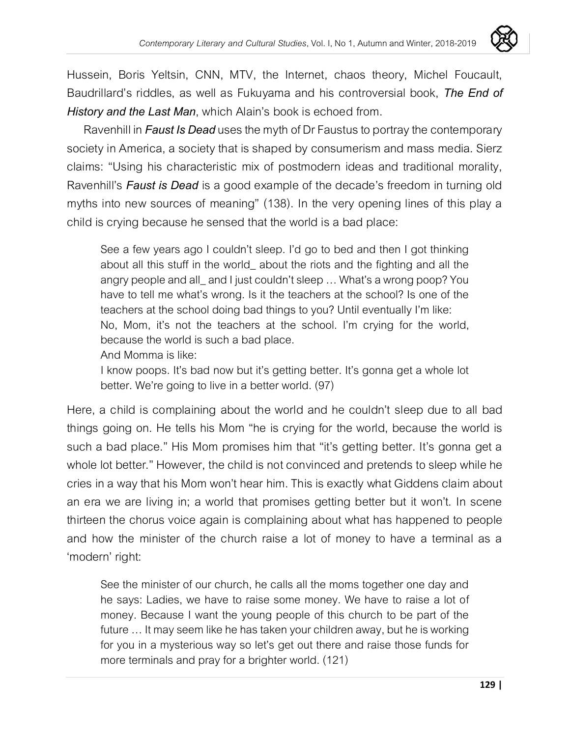

Hussein, Boris Yeltsin, CNN, MTV, the Internet, chaos theory, Michel Foucault, Baudrillard's riddles, as well as Fukuyama and his controversial book, *The End of History and the Last Man*, which Alain's book is echoed from.

Ravenhill in *Faust Is Dead* uses the myth of Dr Faustus to portray the contemporary society in America, a society that is shaped by consumerism and mass media. Sierz claims: "Using his characteristic mix of postmodern ideas and traditional morality, Ravenhill's *Faust is Dead* is a good example of the decade's freedom in turning old myths into new sources of meaning" (138). In the very opening lines of this play a child is crying because he sensed that the world is a bad place:

See a few years ago I couldn't sleep. I'd go to bed and then I got thinking about all this stuff in the world\_ about the riots and the fighting and all the angry people and all\_ and I just couldn't sleep … What's a wrong poop? You have to tell me what's wrong. Is it the teachers at the school? Is one of the teachers at the school doing bad things to you? Until eventually I'm like: No, Mom, it's not the teachers at the school. I'm crying for the world, because the world is such a bad place.

And Momma is like:

I know poops. It's bad now but it's getting better. It's gonna get a whole lot better. We're going to live in a better world. (97)

Here, a child is complaining about the world and he couldn't sleep due to all bad things going on. He tells his Mom "he is crying for the world, because the world is such a bad place." His Mom promises him that "it's getting better. It's gonna get a whole lot better." However, the child is not convinced and pretends to sleep while he cries in a way that his Mom won't hear him. This is exactly what Giddens claim about an era we are living in; a world that promises getting better but it won't. In scene thirteen the chorus voice again is complaining about what has happened to people and how the minister of the church raise a lot of money to have a terminal as a 'modern' right:

See the minister of our church, he calls all the moms together one day and he says: Ladies, we have to raise some money. We have to raise a lot of money. Because I want the young people of this church to be part of the future … It may seem like he has taken your children away, but he is working for you in a mysterious way so let's get out there and raise those funds for more terminals and pray for a brighter world. (121)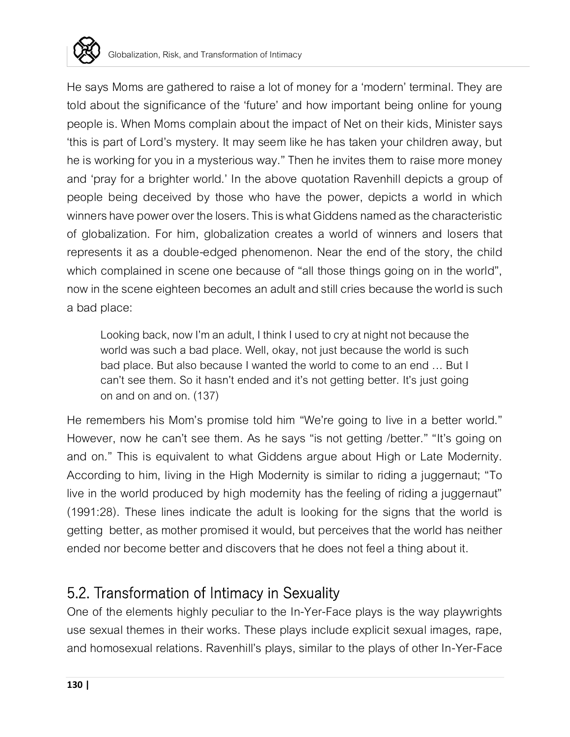

He says Moms are gathered to raise a lot of money for a 'modern' terminal. They are told about the significance of the 'future' and how important being online for young people is. When Moms complain about the impact of Net on their kids, Minister says 'this is part of Lord's mystery. It may seem like he has taken your children away, but he is working for you in a mysterious way." Then he invites them to raise more money and 'pray for a brighter world.' In the above quotation Ravenhill depicts a group of people being deceived by those who have the power, depicts a world in which winners have power over the losers. This is what Giddens named as the characteristic of globalization. For him, globalization creates a world of winners and losers that represents it as a double-edged phenomenon. Near the end of the story, the child which complained in scene one because of "all those things going on in the world", now in the scene eighteen becomes an adult and still cries because the world is such a bad place:

Looking back, now I'm an adult, I think I used to cry at night not because the world was such a bad place. Well, okay, not just because the world is such bad place. But also because I wanted the world to come to an end … But I can't see them. So it hasn't ended and it's not getting better. It's just going on and on and on. (137)

He remembers his Mom's promise told him "We're going to live in a better world." However, now he can't see them. As he says "is not getting /better." "It's going on and on." This is equivalent to what Giddens argue about High or Late Modernity. According to him, living in the High Modernity is similar to riding a juggernaut; "To live in the world produced by high modernity has the feeling of riding a juggernaut" (1991:28). These lines indicate the adult is looking for the signs that the world is getting better, as mother promised it would, but perceives that the world has neither ended nor become better and discovers that he does not feel a thing about it.

## 5.2. Transformation of Intimacy in Sexuality

One of the elements highly peculiar to the In-Yer-Face plays is the way playwrights use sexual themes in their works. These plays include explicit sexual images, rape, and homosexual relations. Ravenhill's plays, similar to the plays of other In-Yer-Face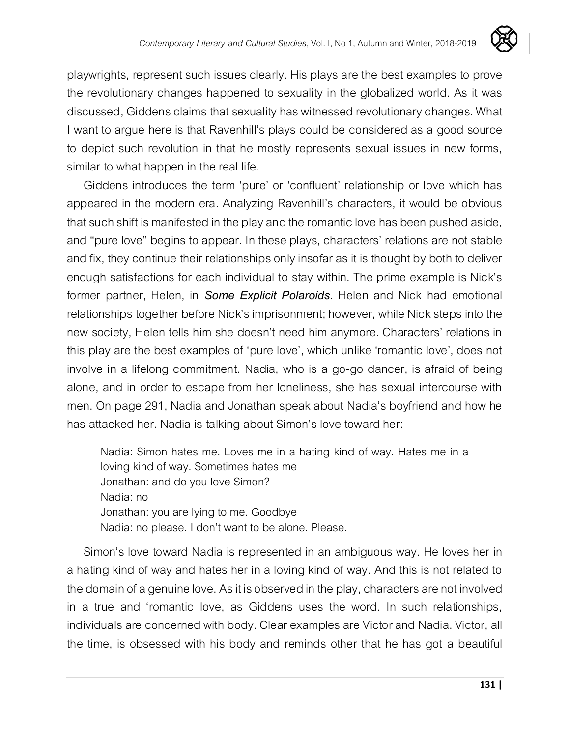

playwrights, represent such issues clearly. His plays are the best examples to prove the revolutionary changes happened to sexuality in the globalized world. As it was discussed, Giddens claims that sexuality has witnessed revolutionary changes. What I want to argue here is that Ravenhill's plays could be considered as a good source to depict such revolution in that he mostly represents sexual issues in new forms, similar to what happen in the real life.

Giddens introduces the term 'pure' or 'confluent' relationship or love which has appeared in the modern era. Analyzing Ravenhill's characters, it would be obvious that such shift is manifested in the play and the romantic love has been pushed aside, and "pure love" begins to appear. In these plays, characters' relations are not stable and fix, they continue their relationships only insofar as it is thought by both to deliver enough satisfactions for each individual to stay within. The prime example is Nick's former partner, Helen, in *Some Explicit Polaroids*. Helen and Nick had emotional relationships together before Nick's imprisonment; however, while Nick steps into the new society, Helen tells him she doesn't need him anymore. Characters' relations in this play are the best examples of 'pure love', which unlike 'romantic love', does not involve in a lifelong commitment. Nadia, who is a go-go dancer, is afraid of being alone, and in order to escape from her loneliness, she has sexual intercourse with men. On page 291, Nadia and Jonathan speak about Nadia's boyfriend and how he has attacked her. Nadia is talking about Simon's love toward her:

Nadia: Simon hates me. Loves me in a hating kind of way. Hates me in a loving kind of way. Sometimes hates me Jonathan: and do you love Simon? Nadia: no Jonathan: you are lying to me. Goodbye Nadia: no please. I don't want to be alone. Please.

Simon's love toward Nadia is represented in an ambiguous way. He loves her in a hating kind of way and hates her in a loving kind of way. And this is not related to the domain of a genuine love. As it is observed in the play, characters are not involved in a true and 'romantic love, as Giddens uses the word. In such relationships, individuals are concerned with body. Clear examples are Victor and Nadia. Victor, all the time, is obsessed with his body and reminds other that he has got a beautiful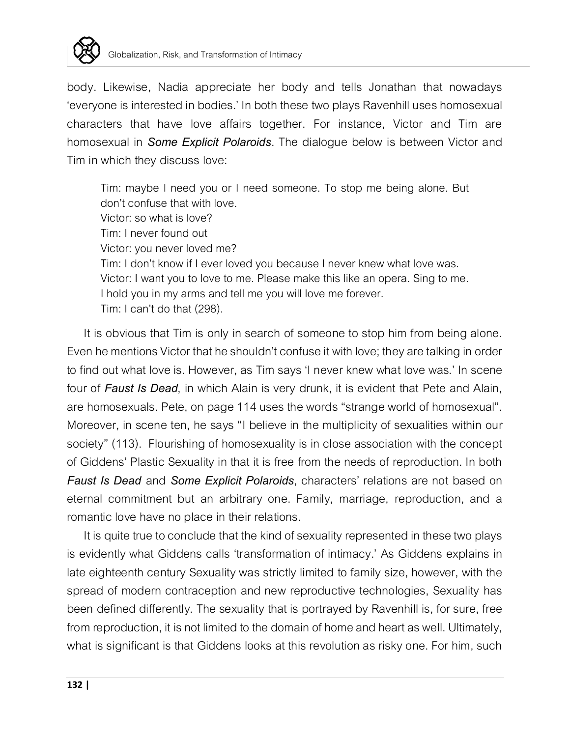

body. Likewise, Nadia appreciate her body and tells Jonathan that nowadays 'everyone is interested in bodies.' In both these two plays Ravenhill uses homosexual characters that have love affairs together. For instance, Victor and Tim are homosexual in *Some Explicit Polaroids*. The dialogue below is between Victor and Tim in which they discuss love:

Tim: maybe I need you or I need someone. To stop me being alone. But don't confuse that with love. Victor: so what is love? Tim: Inever found out Victor: you never loved me? Tim: I don't know if I ever loved you because I never knew what love was. Victor: I want you to love to me. Please make this like an opera. Sing to me. I hold you in my arms and tell me you will love me forever. Tim: I can't do that (298).

It is obvious that Tim is only in search of someone to stop him from being alone. Even he mentions Victor that he shouldn't confuse it with love; they are talking in order to find out what love is. However, as Tim says 'I never knew what love was.' In scene four of *Faust Is Dead*, in which Alain is very drunk, it is evident that Pete and Alain, are homosexuals. Pete, on page 114 uses the words "strange world of homosexual". Moreover, in scene ten, he says "I believe in the multiplicity of sexualities within our society" (113). Flourishing of homosexuality is in close association with the concept of Giddens' Plastic Sexuality in that it is free from the needs of reproduction. In both *Faust Is Dead* and *Some Explicit Polaroids*, characters' relations are not based on eternal commitment but an arbitrary one. Family, marriage, reproduction, and a romantic love have no place in their relations.

It is quite true to conclude that the kind of sexuality represented in these two plays is evidently what Giddens calls 'transformation of intimacy.' As Giddens explains in late eighteenth century Sexuality was strictly limited to family size, however, with the spread of modern contraception and new reproductive technologies, Sexuality has been defined differently. The sexuality that is portrayed by Ravenhill is, for sure, free from reproduction, it is not limited to the domain of home and heart as well. Ultimately, what is significant is that Giddens looks at this revolution as risky one. For him, such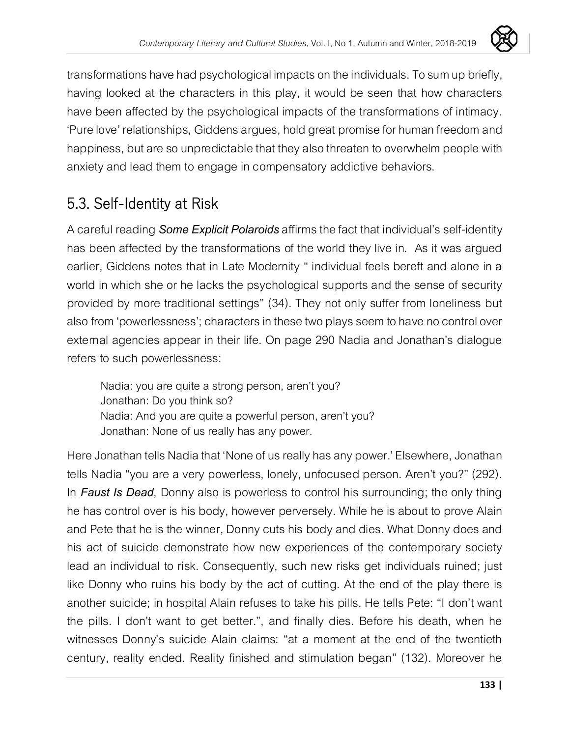

transformations have had psychological impacts on the individuals. To sum up briefly, having looked at the characters in this play, it would be seen that how characters have been affected by the psychological impacts of the transformations of intimacy. 'Pure love' relationships, Giddens argues, hold great promise for human freedom and happiness, but are so unpredictable that they also threaten to overwhelm people with anxiety and lead them to engage in compensatory addictive behaviors.

# 5.3. Self-Identity at Risk

A careful reading *Some Explicit Polaroids*affirms the fact that individual's self-identity has been affected by the transformations of the world they live in. As it was argued earlier, Giddens notes that in Late Modernity " individual feels bereft and alone in a world in which she or he lacks the psychological supports and the sense of security provided by more traditional settings" (34). They not only suffer from loneliness but also from 'powerlessness'; characters in these two plays seem to have no control over external agencies appear in their life. On page 290 Nadia and Jonathan's dialogue refers to such powerlessness:

Nadia: you are quite a strong person, aren't you? Jonathan: Do you think so? Nadia: And you are quite a powerful person, aren't you? Jonathan: None of us really has any power.

Here Jonathan tells Nadia that 'None of us really has any power.' Elsewhere, Jonathan tells Nadia "you are a very powerless, lonely, unfocused person. Aren't you?" (292). In *Faust Is Dead*, Donny also is powerless to control his surrounding; the only thing he has control over is his body, however perversely. While he is about to prove Alain and Pete that he is the winner, Donny cuts his body and dies. What Donny does and his act of suicide demonstrate how new experiences of the contemporary society lead an individual to risk. Consequently, such new risks get individuals ruined; just like Donny who ruins his body by the act of cutting. At the end of the play there is another suicide; in hospital Alain refuses to take his pills. He tells Pete: "I don't want the pills. I don't want to get better.", and finally dies. Before his death, when he witnesses Donny's suicide Alain claims: "at a moment at the end of the twentieth century, reality ended. Reality finished and stimulation began" (132). Moreover he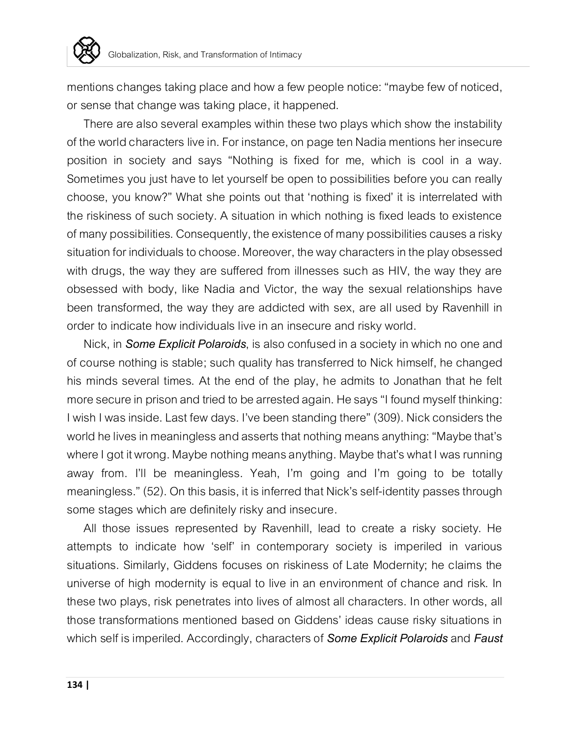

mentions changes taking place and how a few people notice: "maybe few of noticed, or sense that change was taking place, it happened.

There are also several examples within these two plays which show the instability of the world characters live in. For instance, on page ten Nadia mentions her insecure position in society and says "Nothing is fixed for me, which is cool in a way. Sometimes you just have to let yourself be open to possibilities before you can really choose, you know?" What she points out that 'nothing is fixed' it is interrelated with the riskiness of such society. A situation in which nothing is fixed leads to existence of many possibilities. Consequently, the existence of many possibilities causes a risky situation for individuals to choose. Moreover, the way characters in the play obsessed with drugs, the way they are suffered from illnesses such as HIV, the way they are obsessed with body, like Nadia and Victor, the way the sexual relationships have been transformed, the way they are addicted with sex, are all used by Ravenhill in order to indicate how individuals live in an insecure and risky world.

Nick, in *Some Explicit Polaroids*, is also confused in a society in which no one and of course nothing is stable; such quality has transferred to Nick himself, he changed his minds several times. At the end of the play, he admits to Jonathan that he felt more secure in prison and tried to be arrested again. He says "I found myself thinking: I wish I was inside. Last few days. I've been standing there" (309). Nick considers the world he lives in meaningless and asserts that nothing means anything: "Maybe that's where I got it wrong. Maybe nothing means anything. Maybe that's what I was running away from. I'll be meaningless. Yeah, I'm going and I'm going to be totally meaningless." (52). On this basis, it is inferred that Nick's self-identity passes through some stages which are definitely risky and insecure.

All those issues represented by Ravenhill, lead to create a risky society. He attempts to indicate how 'self' in contemporary society is imperiled in various situations. Similarly, Giddens focuses on riskiness of Late Modernity; he claims the universe of high modernity is equal to live in an environment of chance and risk. In these two plays, risk penetrates into lives of almost all characters. In other words, all those transformations mentioned based on Giddens' ideas cause risky situations in which self is imperiled. Accordingly, characters of *Some Explicit Polaroids*and *Faust*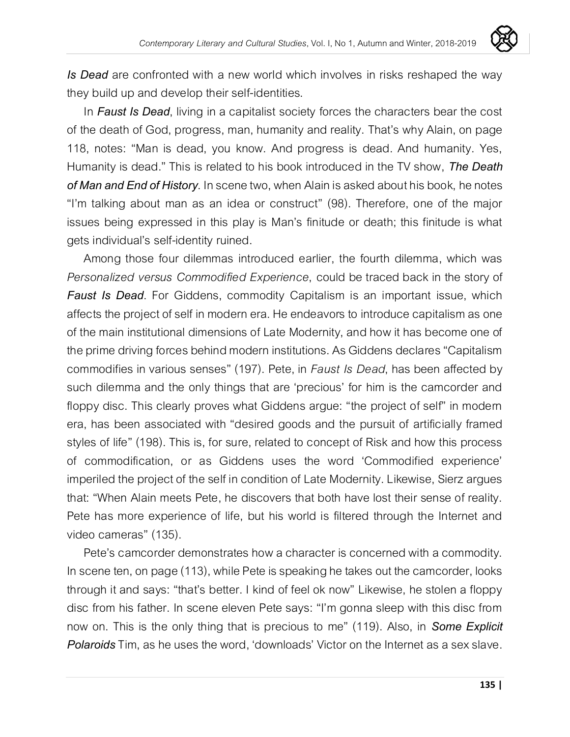

*Is Dead* are confronted with a new world which involves in risks reshaped the way they build up and develop their self-identities.

In *Faust Is Dead*, living in a capitalist society forces the characters bear the cost of the death of God, progress, man, humanity and reality. That's why Alain, on page 118, notes: "Man is dead, you know. And progress is dead. And humanity. Yes, Humanity is dead." This is related to his book introduced in the TV show, *The Death*  of Man and End of History. In scene two, when Alain is asked about his book, he notes "I'm talking about man as an idea or construct" (98). Therefore, one of the major issues being expressed in this play is Man's finitude or death; this finitude is what gets individual's self-identity ruined.

Among those four dilemmas introduced earlier, the fourth dilemma, which was *Personalized versus Commodified Experience*, could be traced back in the story of *Faust Is Dead*. For Giddens, commodity Capitalism is an important issue, which affects the project of self in modern era. He endeavors to introduce capitalism as one of the main institutional dimensions of Late Modernity, and how it has become one of the prime driving forces behind modern institutions. As Giddens declares "Capitalism commodifies in various senses" (197). Pete, in *Faust Is Dead*, has been affected by such dilemma and the only things that are 'precious' for him is the camcorder and floppy disc. This clearly proves what Giddens argue: "the project of self" in modern era, has been associated with "desired goods and the pursuit of artificially framed styles of life" (198). This is, for sure, related to concept of Risk and how this process of commodification, or as Giddens uses the word 'Commodified experience' imperiled the project of the self in condition of Late Modernity. Likewise, Sierz argues that: "When Alain meets Pete, he discovers that both have lost their sense of reality. Pete has more experience of life, but his world is filtered through the Internet and video cameras" (135).

Pete's camcorder demonstrates how a character is concerned with a commodity. In scene ten, on page (113), while Pete is speaking he takes out the camcorder, looks through it and says: "that's better. I kind of feel ok now" Likewise, he stolen a floppy disc from his father. In scene eleven Pete says: "I'm gonna sleep with this disc from now on. This is the only thing that is precious to me" (119). Also, in *Some Explicit Polaroids* Tim, as he uses the word, 'downloads' Victor on the Internet as a sex slave.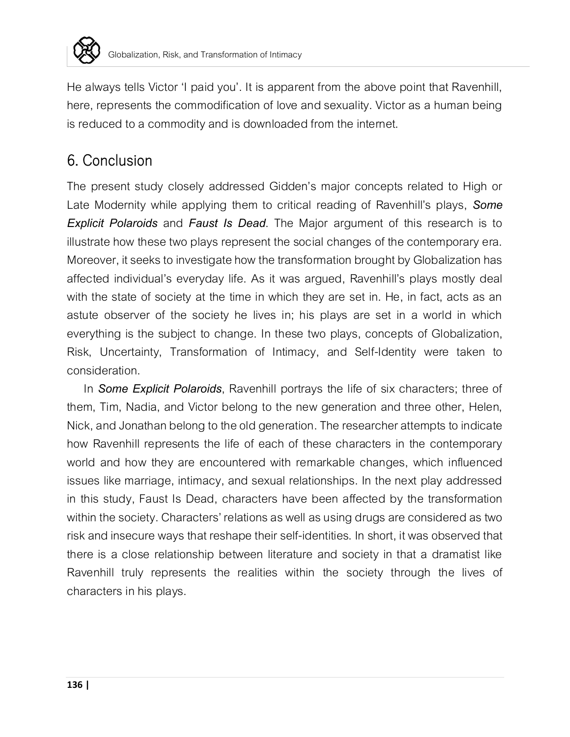

He always tells Victor 'I paid you'. It is apparent from the above point that Ravenhill, here, represents the commodification of love and sexuality. Victor as a human being is reduced to a commodity and is downloaded from the internet.

## 6. Conclusion

The present study closely addressed Gidden's major concepts related to High or Late Modernity while applying them to critical reading of Ravenhill's plays, *Some Explicit Polaroids* and *Faust Is Dead*. The Major argument of this research is to illustrate how these two plays represent the social changes of the contemporary era. Moreover, it seeks to investigate how the transformation brought by Globalization has affected individual's everyday life. As it was argued, Ravenhill's plays mostly deal with the state of society at the time in which they are set in. He, in fact, acts as an astute observer of the society he lives in; his plays are set in a world in which everything is the subject to change. In these two plays, concepts of Globalization, Risk, Uncertainty, Transformation of Intimacy, and Self-Identity were taken to consideration.

In *Some Explicit Polaroids*, Ravenhill portrays the life of six characters; three of them, Tim, Nadia, and Victor belong to the new generation and three other, Helen, Nick, and Jonathan belong to the old generation. The researcher attempts to indicate how Ravenhill represents the life of each of these characters in the contemporary world and how they are encountered with remarkable changes, which influenced issues like marriage, intimacy, and sexual relationships. In the next play addressed in this study, Faust Is Dead, characters have been affected by the transformation within the society. Characters' relations as well as using drugs are considered as two risk and insecure ways that reshape their self-identities. In short, it was observed that there is a close relationship between literature and society in that a dramatist like Ravenhill truly represents the realities within the society through the lives of characters in his plays.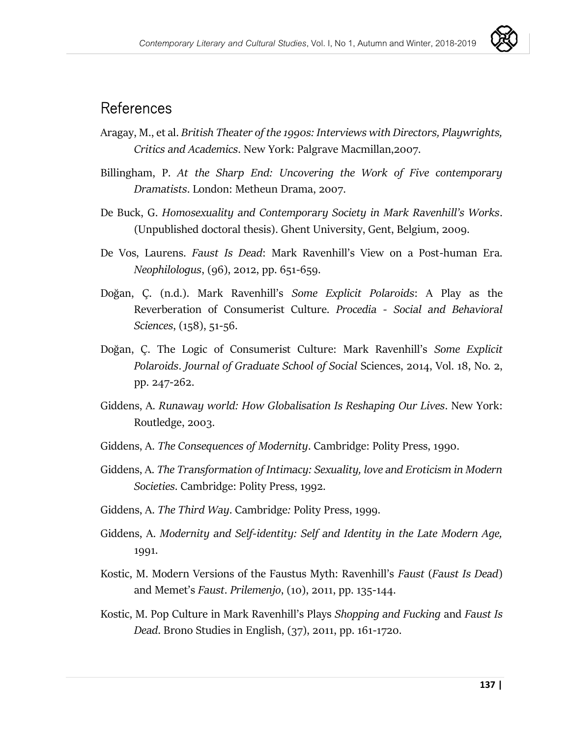

#### References

- Aragay, M., et al. *British Theater of the 1990s: Interviews with Directors, Playwrights, Critics and Academics*. New York: Palgrave Macmillan,2007.
- Billingham, P. *At the Sharp End: Uncovering the Work of Five contemporary Dramatists*. London: Metheun Drama, 2007.
- De Buck, G. *Homosexuality and Contemporary Society in Mark Ravenhill's Works*. (Unpublished doctoral thesis). Ghent University, Gent, Belgium, 2009.
- De Vos, Laurens. *Faust Is Dead*: Mark Ravenhill's View on a Post-human Era. *Neophilologus*, (96), 2012, pp. 651-659.
- Doğan, Ç. (n.d.). Mark Ravenhill's *Some Explicit Polaroids*: A Play as the Reverberation of Consumerist Culture. *Procedia - Social and Behavioral Sciences*, (158), 51-56.
- Doğan, Ç. The Logic of Consumerist Culture: Mark Ravenhill's *Some Explicit Polaroids*. *Journal of Graduate School of Social* Sciences, 2014, Vol. 18, No. 2, pp. 247-262.
- Giddens, A. *Runaway world: How Globalisation Is Reshaping Our Lives*. New York: Routledge, 2003.
- Giddens, A. *The Consequences of Modernity*. Cambridge: Polity Press, 1990.
- Giddens, A. *The Transformation of Intimacy: Sexuality, love and Eroticism in Modern Societies*. Cambridge: Polity Press, 1992.
- Giddens, A. *The Third Way*. Cambridge*:* Polity Press, 1999.
- Giddens, A. *Modernity and Self-identity: Self and Identity in the Late Modern Age,*  1991.
- Kostic, M. Modern Versions of the Faustus Myth: Ravenhill's *Faust* (*Faust Is Dead*) and Memet's *Faust*. *Prilemenjo*, (10), 2011, pp. 135-144.
- Kostic, M. Pop Culture in Mark Ravenhill's Plays *Shopping and Fucking* and *Faust Is Dead*. Brono Studies in English, (37), 2011, pp. 161-1720.